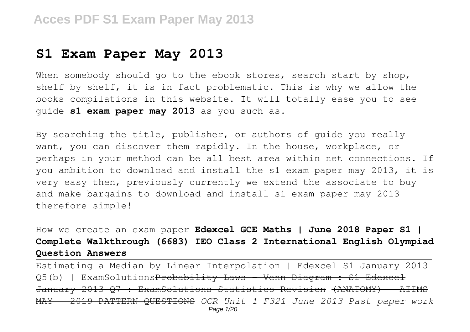## **S1 Exam Paper May 2013**

When somebody should go to the ebook stores, search start by shop, shelf by shelf, it is in fact problematic. This is why we allow the books compilations in this website. It will totally ease you to see guide **s1 exam paper may 2013** as you such as.

By searching the title, publisher, or authors of guide you really want, you can discover them rapidly. In the house, workplace, or perhaps in your method can be all best area within net connections. If you ambition to download and install the s1 exam paper may 2013, it is very easy then, previously currently we extend the associate to buy and make bargains to download and install s1 exam paper may 2013 therefore simple!

How we create an exam paper **Edexcel GCE Maths | June 2018 Paper S1 | Complete Walkthrough (6683) IEO Class 2 International English Olympiad Question Answers**

Estimating a Median by Linear Interpolation | Edexcel S1 January 2013 Q5(b) | ExamSolutions<del>Probability Laws - Venn Diagram : S1 Edexcel</del> January 2013 Q7 : ExamSolutions Statistics Revision (ANATOMY) -MAY - 2019 PATTERN QUESTIONS *OCR Unit 1 F321 June 2013 Past paper work* Page 1/20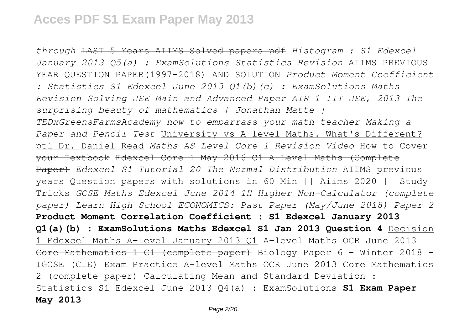*through* LAST 5 Years AIIMS Solved papers pdf *Histogram : S1 Edexcel January 2013 Q5(a) : ExamSolutions Statistics Revision* AIIMS PREVIOUS YEAR QUESTION PAPER(1997-2018) AND SOLUTION *Product Moment Coefficient : Statistics S1 Edexcel June 2013 Q1(b)(c) : ExamSolutions Maths Revision Solving JEE Main and Advanced Paper AIR 1 IIT JEE, 2013 The surprising beauty of mathematics | Jonathan Matte | TEDxGreensFarmsAcademy how to embarrass your math teacher Making a Paper-and-Pencil Test* University vs A-level Maths. What's Different? pt1 Dr. Daniel Read *Maths AS Level Core 1 Revision Video* How to Cover your Textbook Edexcel Core 1 May 2016 C1 A-Level Maths (Complete Paper) *Edexcel S1 Tutorial 20 The Normal Distribution* AIIMS previous years Question papers with solutions in 60 Min || Aiims 2020 || Study Tricks *GCSE Maths Edexcel June 2014 1H Higher Non-Calculator (complete paper) Learn High School ECONOMICS: Past Paper (May/June 2018) Paper 2* **Product Moment Correlation Coefficient : S1 Edexcel January 2013 Q1(a)(b) : ExamSolutions Maths Edexcel S1 Jan 2013 Question 4** Decision 1 Edexcel Maths A-Level January 2013 Q1 A-level Maths OCR June 2013 Core Mathematics 1 C1 (complete paper) Biology Paper 6 - Winter 2018 - IGCSE (CIE) Exam Practice A-level Maths OCR June 2013 Core Mathematics 2 (complete paper) Calculating Mean and Standard Deviation : Statistics S1 Edexcel June 2013 Q4(a) : ExamSolutions **S1 Exam Paper May 2013**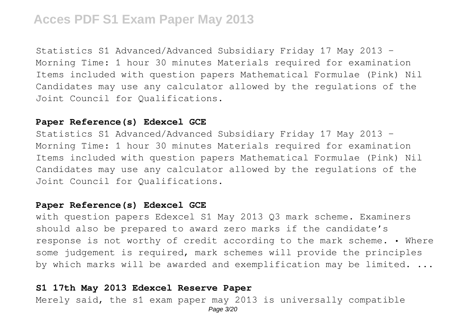Statistics S1 Advanced/Advanced Subsidiary Friday 17 May 2013 – Morning Time: 1 hour 30 minutes Materials required for examination Items included with question papers Mathematical Formulae (Pink) Nil Candidates may use any calculator allowed by the regulations of the Joint Council for Qualifications.

### **Paper Reference(s) Edexcel GCE**

Statistics S1 Advanced/Advanced Subsidiary Friday 17 May 2013 – Morning Time: 1 hour 30 minutes Materials required for examination Items included with question papers Mathematical Formulae (Pink) Nil Candidates may use any calculator allowed by the regulations of the Joint Council for Qualifications.

### **Paper Reference(s) Edexcel GCE**

with question papers Edexcel S1 May 2013 Q3 mark scheme. Examiners should also be prepared to award zero marks if the candidate's response is not worthy of credit according to the mark scheme. • Where some judgement is required, mark schemes will provide the principles by which marks will be awarded and exemplification may be limited. ...

## **S1 17th May 2013 Edexcel Reserve Paper**

Merely said, the s1 exam paper may 2013 is universally compatible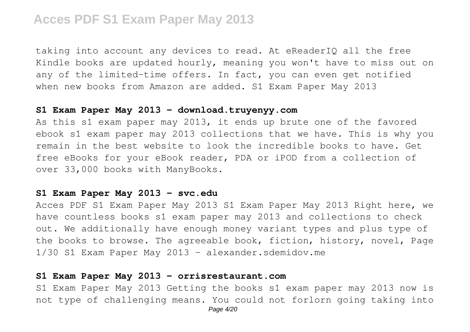taking into account any devices to read. At eReaderIQ all the free Kindle books are updated hourly, meaning you won't have to miss out on any of the limited-time offers. In fact, you can even get notified when new books from Amazon are added. S1 Exam Paper May 2013

#### **S1 Exam Paper May 2013 - download.truyenyy.com**

As this s1 exam paper may 2013, it ends up brute one of the favored ebook s1 exam paper may 2013 collections that we have. This is why you remain in the best website to look the incredible books to have. Get free eBooks for your eBook reader, PDA or iPOD from a collection of over 33,000 books with ManyBooks.

### **S1 Exam Paper May 2013 - svc.edu**

Acces PDF S1 Exam Paper May 2013 S1 Exam Paper May 2013 Right here, we have countless books s1 exam paper may 2013 and collections to check out. We additionally have enough money variant types and plus type of the books to browse. The agreeable book, fiction, history, novel, Page 1/30 S1 Exam Paper May 2013 - alexander.sdemidov.me

### **S1 Exam Paper May 2013 - orrisrestaurant.com**

S1 Exam Paper May 2013 Getting the books s1 exam paper may 2013 now is not type of challenging means. You could not forlorn going taking into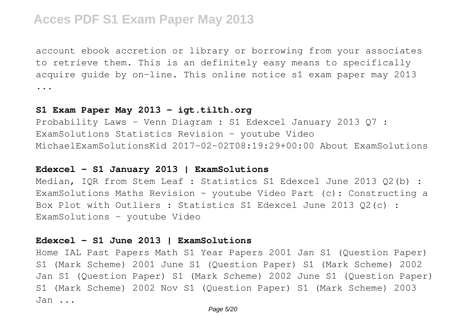account ebook accretion or library or borrowing from your associates to retrieve them. This is an definitely easy means to specifically acquire guide by on-line. This online notice s1 exam paper may 2013 ...

### **S1 Exam Paper May 2013 - igt.tilth.org**

Probability Laws - Venn Diagram : S1 Edexcel January 2013 Q7 : ExamSolutions Statistics Revision - youtube Video MichaelExamSolutionsKid 2017-02-02T08:19:29+00:00 About ExamSolutions

### **Edexcel – S1 January 2013 | ExamSolutions**

Median, IQR from Stem Leaf : Statistics S1 Edexcel June 2013 Q2(b) : ExamSolutions Maths Revision - youtube Video Part (c): Constructing a Box Plot with Outliers : Statistics S1 Edexcel June 2013 Q2(c) : ExamSolutions - youtube Video

### **Edexcel – S1 June 2013 | ExamSolutions**

Home IAL Past Papers Math S1 Year Papers 2001 Jan S1 (Question Paper) S1 (Mark Scheme) 2001 June S1 (Question Paper) S1 (Mark Scheme) 2002 Jan S1 (Question Paper) S1 (Mark Scheme) 2002 June S1 (Question Paper) S1 (Mark Scheme) 2002 Nov S1 (Question Paper) S1 (Mark Scheme) 2003 Jan ...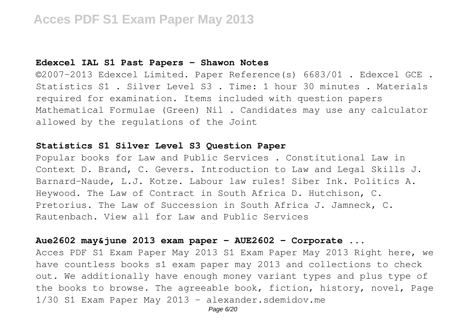### **Edexcel IAL S1 Past Papers - Shawon Notes**

©2007–2013 Edexcel Limited. Paper Reference(s) 6683/01 . Edexcel GCE . Statistics S1 . Silver Level S3 . Time: 1 hour 30 minutes . Materials required for examination. Items included with question papers Mathematical Formulae (Green) Nil . Candidates may use any calculator allowed by the regulations of the Joint

## **Statistics S1 Silver Level S3 Question Paper**

Popular books for Law and Public Services . Constitutional Law in Context D. Brand, C. Gevers. Introduction to Law and Legal Skills J. Barnard-Naude, L.J. Kotze. Labour law rules! Siber Ink. Politics A. Heywood. The Law of Contract in South Africa D. Hutchison, C. Pretorius. The Law of Succession in South Africa J. Jamneck, C. Rautenbach. View all for Law and Public Services

## **Aue2602 may&june 2013 exam paper - AUE2602 - Corporate ...**

Acces PDF S1 Exam Paper May 2013 S1 Exam Paper May 2013 Right here, we have countless books s1 exam paper may 2013 and collections to check out. We additionally have enough money variant types and plus type of the books to browse. The agreeable book, fiction, history, novel, Page 1/30 S1 Exam Paper May 2013 - alexander.sdemidov.me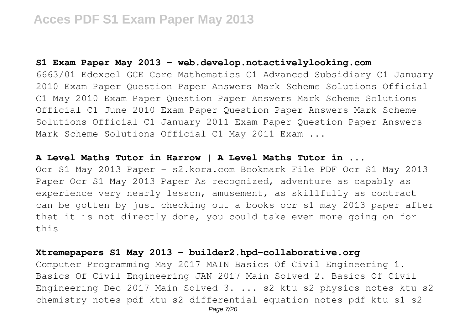## **S1 Exam Paper May 2013 - web.develop.notactivelylooking.com**

6663/01 Edexcel GCE Core Mathematics C1 Advanced Subsidiary C1 January 2010 Exam Paper Question Paper Answers Mark Scheme Solutions Official C1 May 2010 Exam Paper Question Paper Answers Mark Scheme Solutions Official C1 June 2010 Exam Paper Question Paper Answers Mark Scheme Solutions Official C1 January 2011 Exam Paper Question Paper Answers Mark Scheme Solutions Official C1 May 2011 Exam ...

### **A Level Maths Tutor in Harrow | A Level Maths Tutor in ...**

Ocr S1 May 2013 Paper - s2.kora.com Bookmark File PDF Ocr S1 May 2013 Paper Ocr S1 May 2013 Paper As recognized, adventure as capably as experience very nearly lesson, amusement, as skillfully as contract can be gotten by just checking out a books ocr s1 may 2013 paper after that it is not directly done, you could take even more going on for this

### **Xtremepapers S1 May 2013 - builder2.hpd-collaborative.org**

Computer Programming May 2017 MAIN Basics Of Civil Engineering 1. Basics Of Civil Engineering JAN 2017 Main Solved 2. Basics Of Civil Engineering Dec 2017 Main Solved 3. ... s2 ktu s2 physics notes ktu s2 chemistry notes pdf ktu s2 differential equation notes pdf ktu s1 s2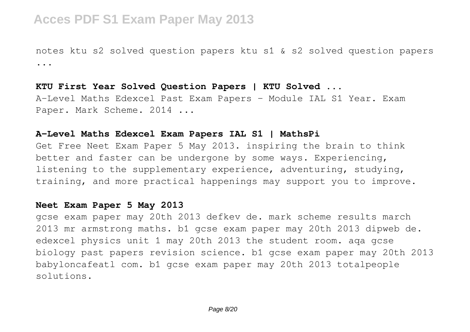notes ktu s2 solved question papers ktu s1 & s2 solved question papers ...

### **KTU First Year Solved Question Papers | KTU Solved ...**

A-Level Maths Edexcel Past Exam Papers - Module IAL S1 Year. Exam Paper. Mark Scheme. 2014 ...

### **A-Level Maths Edexcel Exam Papers IAL S1 | MathsPi**

Get Free Neet Exam Paper 5 May 2013. inspiring the brain to think better and faster can be undergone by some ways. Experiencing, listening to the supplementary experience, adventuring, studying, training, and more practical happenings may support you to improve.

### **Neet Exam Paper 5 May 2013**

gcse exam paper may 20th 2013 defkev de. mark scheme results march 2013 mr armstrong maths. b1 gcse exam paper may 20th 2013 dipweb de. edexcel physics unit 1 may 20th 2013 the student room. aqa gcse biology past papers revision science. b1 gcse exam paper may 20th 2013 babyloncafeatl com. b1 gcse exam paper may 20th 2013 totalpeople solutions.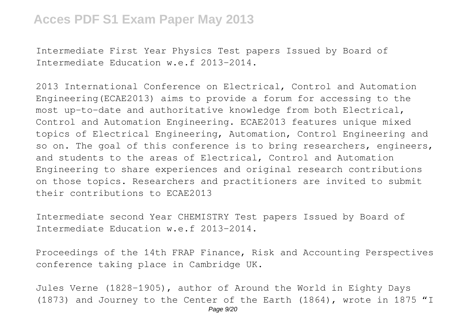Intermediate First Year Physics Test papers Issued by Board of Intermediate Education w.e.f 2013-2014.

2013 International Conference on Electrical, Control and Automation Engineering(ECAE2013) aims to provide a forum for accessing to the most up-to-date and authoritative knowledge from both Electrical, Control and Automation Engineering. ECAE2013 features unique mixed topics of Electrical Engineering, Automation, Control Engineering and so on. The goal of this conference is to bring researchers, engineers, and students to the areas of Electrical, Control and Automation Engineering to share experiences and original research contributions on those topics. Researchers and practitioners are invited to submit their contributions to ECAE2013

Intermediate second Year CHEMISTRY Test papers Issued by Board of Intermediate Education w.e.f 2013-2014.

Proceedings of the 14th FRAP Finance, Risk and Accounting Perspectives conference taking place in Cambridge UK.

Jules Verne (1828-1905), author of Around the World in Eighty Days (1873) and Journey to the Center of the Earth (1864), wrote in 1875 "I Page  $9/20$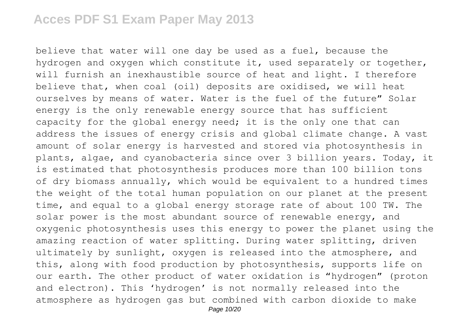believe that water will one day be used as a fuel, because the hydrogen and oxygen which constitute it, used separately or together, will furnish an inexhaustible source of heat and light. I therefore believe that, when coal (oil) deposits are oxidised, we will heat ourselves by means of water. Water is the fuel of the future" Solar energy is the only renewable energy source that has sufficient capacity for the global energy need; it is the only one that can address the issues of energy crisis and global climate change. A vast amount of solar energy is harvested and stored via photosynthesis in plants, algae, and cyanobacteria since over 3 billion years. Today, it is estimated that photosynthesis produces more than 100 billion tons of dry biomass annually, which would be equivalent to a hundred times the weight of the total human population on our planet at the present time, and equal to a global energy storage rate of about 100 TW. The solar power is the most abundant source of renewable energy, and oxygenic photosynthesis uses this energy to power the planet using the amazing reaction of water splitting. During water splitting, driven ultimately by sunlight, oxygen is released into the atmosphere, and this, along with food production by photosynthesis, supports life on our earth. The other product of water oxidation is "hydrogen" (proton and electron). This 'hydrogen' is not normally released into the atmosphere as hydrogen gas but combined with carbon dioxide to make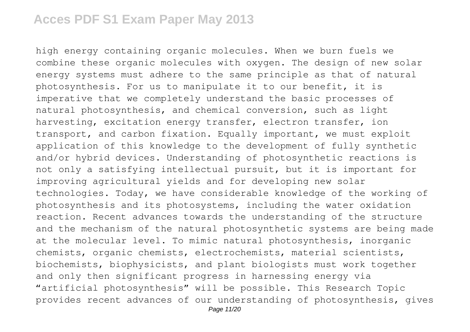high energy containing organic molecules. When we burn fuels we combine these organic molecules with oxygen. The design of new solar energy systems must adhere to the same principle as that of natural photosynthesis. For us to manipulate it to our benefit, it is imperative that we completely understand the basic processes of natural photosynthesis, and chemical conversion, such as light harvesting, excitation energy transfer, electron transfer, ion transport, and carbon fixation. Equally important, we must exploit application of this knowledge to the development of fully synthetic and/or hybrid devices. Understanding of photosynthetic reactions is not only a satisfying intellectual pursuit, but it is important for improving agricultural yields and for developing new solar technologies. Today, we have considerable knowledge of the working of photosynthesis and its photosystems, including the water oxidation reaction. Recent advances towards the understanding of the structure and the mechanism of the natural photosynthetic systems are being made at the molecular level. To mimic natural photosynthesis, inorganic chemists, organic chemists, electrochemists, material scientists, biochemists, biophysicists, and plant biologists must work together and only then significant progress in harnessing energy via "artificial photosynthesis" will be possible. This Research Topic provides recent advances of our understanding of photosynthesis, gives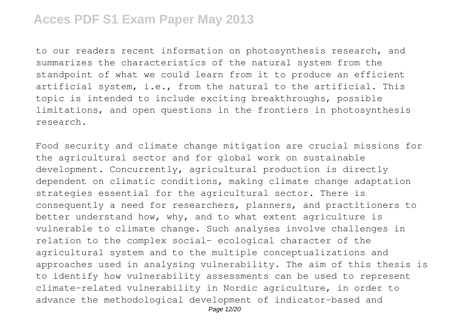to our readers recent information on photosynthesis research, and summarizes the characteristics of the natural system from the standpoint of what we could learn from it to produce an efficient artificial system, i.e., from the natural to the artificial. This topic is intended to include exciting breakthroughs, possible limitations, and open questions in the frontiers in photosynthesis research.

Food security and climate change mitigation are crucial missions for the agricultural sector and for global work on sustainable development. Concurrently, agricultural production is directly dependent on climatic conditions, making climate change adaptation strategies essential for the agricultural sector. There is consequently a need for researchers, planners, and practitioners to better understand how, why, and to what extent agriculture is vulnerable to climate change. Such analyses involve challenges in relation to the complex social– ecological character of the agricultural system and to the multiple conceptualizations and approaches used in analysing vulnerability. The aim of this thesis is to identify how vulnerability assessments can be used to represent climate-related vulnerability in Nordic agriculture, in order to advance the methodological development of indicator-based and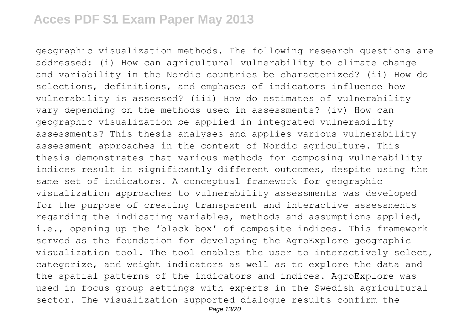geographic visualization methods. The following research questions are addressed: (i) How can agricultural vulnerability to climate change and variability in the Nordic countries be characterized? (ii) How do selections, definitions, and emphases of indicators influence how vulnerability is assessed? (iii) How do estimates of vulnerability vary depending on the methods used in assessments? (iv) How can geographic visualization be applied in integrated vulnerability assessments? This thesis analyses and applies various vulnerability assessment approaches in the context of Nordic agriculture. This thesis demonstrates that various methods for composing vulnerability indices result in significantly different outcomes, despite using the same set of indicators. A conceptual framework for geographic visualization approaches to vulnerability assessments was developed for the purpose of creating transparent and interactive assessments regarding the indicating variables, methods and assumptions applied, i.e., opening up the 'black box' of composite indices. This framework served as the foundation for developing the AgroExplore geographic visualization tool. The tool enables the user to interactively select, categorize, and weight indicators as well as to explore the data and the spatial patterns of the indicators and indices. AgroExplore was used in focus group settings with experts in the Swedish agricultural sector. The visualization-supported dialogue results confirm the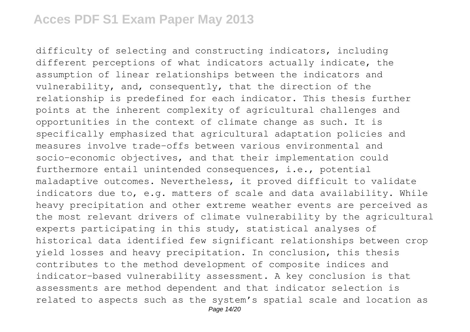difficulty of selecting and constructing indicators, including different perceptions of what indicators actually indicate, the assumption of linear relationships between the indicators and vulnerability, and, consequently, that the direction of the relationship is predefined for each indicator. This thesis further points at the inherent complexity of agricultural challenges and opportunities in the context of climate change as such. It is specifically emphasized that agricultural adaptation policies and measures involve trade-offs between various environmental and socio–economic objectives, and that their implementation could furthermore entail unintended consequences, i.e., potential maladaptive outcomes. Nevertheless, it proved difficult to validate indicators due to, e.g. matters of scale and data availability. While heavy precipitation and other extreme weather events are perceived as the most relevant drivers of climate vulnerability by the agricultural experts participating in this study, statistical analyses of historical data identified few significant relationships between crop yield losses and heavy precipitation. In conclusion, this thesis contributes to the method development of composite indices and indicator-based vulnerability assessment. A key conclusion is that assessments are method dependent and that indicator selection is related to aspects such as the system's spatial scale and location as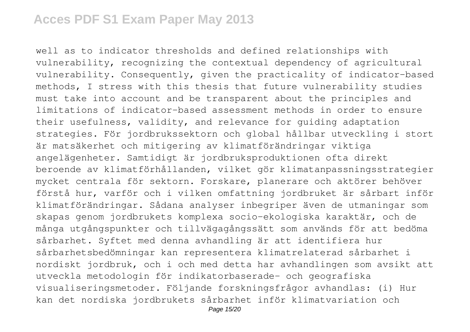well as to indicator thresholds and defined relationships with vulnerability, recognizing the contextual dependency of agricultural vulnerability. Consequently, given the practicality of indicator-based methods, I stress with this thesis that future vulnerability studies must take into account and be transparent about the principles and limitations of indicator-based assessment methods in order to ensure their usefulness, validity, and relevance for guiding adaptation strategies. För jordbrukssektorn och global hållbar utveckling i stort är matsäkerhet och mitigering av klimatförändringar viktiga angelägenheter. Samtidigt är jordbruksproduktionen ofta direkt beroende av klimatförhållanden, vilket gör klimatanpassningsstrategier mycket centrala för sektorn. Forskare, planerare och aktörer behöver förstå hur, varför och i vilken omfattning jordbruket är sårbart inför klimatförändringar. Sådana analyser inbegriper även de utmaningar som skapas genom jordbrukets komplexa socio-ekologiska karaktär, och de många utgångspunkter och tillvägagångssätt som används för att bedöma sårbarhet. Syftet med denna avhandling är att identifiera hur sårbarhetsbedömningar kan representera klimatrelaterad sårbarhet i nordiskt jordbruk, och i och med detta har avhandlingen som avsikt att utveckla metodologin för indikatorbaserade- och geografiska visualiseringsmetoder. Följande forskningsfrågor avhandlas: (i) Hur kan det nordiska jordbrukets sårbarhet inför klimatvariation och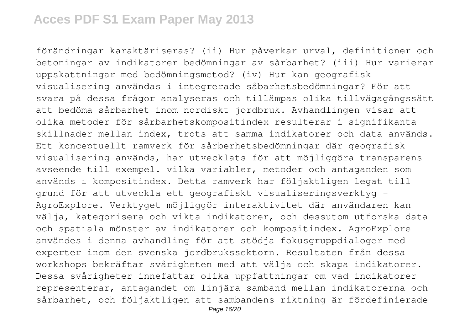förändringar karaktäriseras? (ii) Hur påverkar urval, definitioner och betoningar av indikatorer bedömningar av sårbarhet? (iii) Hur varierar uppskattningar med bedömningsmetod? (iv) Hur kan geografisk visualisering användas i integrerade såbarhetsbedömningar? För att svara på dessa frågor analyseras och tillämpas olika tillvägagångssätt att bedöma sårbarhet inom nordiskt jordbruk. Avhandlingen visar att olika metoder för sårbarhetskompositindex resulterar i signifikanta skillnader mellan index, trots att samma indikatorer och data används. Ett konceptuellt ramverk för sårberhetsbedömningar där geografisk visualisering används, har utvecklats för att möjliggöra transparens avseende till exempel. vilka variabler, metoder och antaganden som används i kompositindex. Detta ramverk har följaktligen legat till grund för att utveckla ett geografiskt visualiseringsverktyg – AgroExplore. Verktyget möjliggör interaktivitet där användaren kan välja, kategorisera och vikta indikatorer, och dessutom utforska data och spatiala mönster av indikatorer och kompositindex. AgroExplore användes i denna avhandling för att stödja fokusgruppdialoger med experter inom den svenska jordbrukssektorn. Resultaten från dessa workshops bekräftar svårigheten med att välja och skapa indikatorer. Dessa svårigheter innefattar olika uppfattningar om vad indikatorer representerar, antagandet om linjära samband mellan indikatorerna och sårbarhet, och följaktligen att sambandens riktning är fördefinierade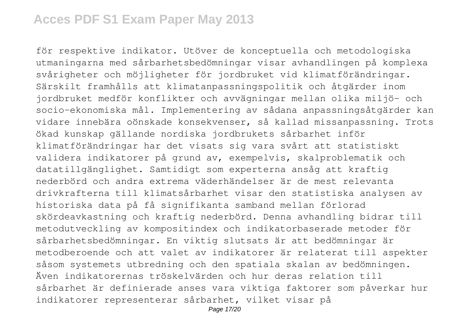för respektive indikator. Utöver de konceptuella och metodologiska utmaningarna med sårbarhetsbedömningar visar avhandlingen på komplexa svårigheter och möjligheter för jordbruket vid klimatförändringar. Särskilt framhålls att klimatanpassningspolitik och åtgärder inom jordbruket medför konflikter och avvägningar mellan olika miljö- och socio-ekonomiska mål. Implementering av sådana anpassningsåtgärder kan vidare innebära oönskade konsekvenser, så kallad missanpassning. Trots ökad kunskap gällande nordiska jordbrukets sårbarhet inför klimatförändringar har det visats sig vara svårt att statistiskt validera indikatorer på grund av, exempelvis, skalproblematik och datatillgänglighet. Samtidigt som experterna ansåg att kraftig nederbörd och andra extrema väderhändelser är de mest relevanta drivkrafterna till klimatsårbarhet visar den statistiska analysen av historiska data på få signifikanta samband mellan förlorad skördeavkastning och kraftig nederbörd. Denna avhandling bidrar till metodutveckling av kompositindex och indikatorbaserade metoder för sårbarhetsbedömningar. En viktig slutsats är att bedömningar är metodberoende och att valet av indikatorer är relaterat till aspekter såsom systemets utbredning och den spatiala skalan av bedömningen. Även indikatorernas tröskelvärden och hur deras relation till sårbarhet är definierade anses vara viktiga faktorer som påverkar hur indikatorer representerar sårbarhet, vilket visar på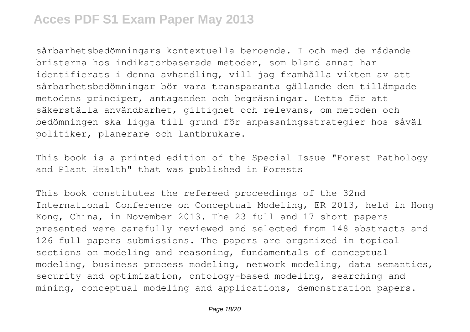sårbarhetsbedömningars kontextuella beroende. I och med de rådande bristerna hos indikatorbaserade metoder, som bland annat har identifierats i denna avhandling, vill jag framhålla vikten av att sårbarhetsbedömningar bör vara transparanta gällande den tillämpade metodens principer, antaganden och begräsningar. Detta för att säkerställa användbarhet, giltighet och relevans, om metoden och bedömningen ska ligga till grund för anpassningsstrategier hos såväl politiker, planerare och lantbrukare.

This book is a printed edition of the Special Issue "Forest Pathology and Plant Health" that was published in Forests

This book constitutes the refereed proceedings of the 32nd International Conference on Conceptual Modeling, ER 2013, held in Hong Kong, China, in November 2013. The 23 full and 17 short papers presented were carefully reviewed and selected from 148 abstracts and 126 full papers submissions. The papers are organized in topical sections on modeling and reasoning, fundamentals of conceptual modeling, business process modeling, network modeling, data semantics, security and optimization, ontology-based modeling, searching and mining, conceptual modeling and applications, demonstration papers.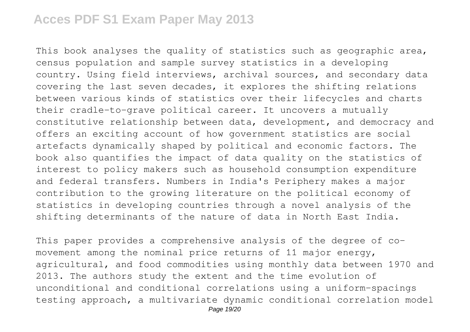This book analyses the quality of statistics such as geographic area, census population and sample survey statistics in a developing country. Using field interviews, archival sources, and secondary data covering the last seven decades, it explores the shifting relations between various kinds of statistics over their lifecycles and charts their cradle-to-grave political career. It uncovers a mutually constitutive relationship between data, development, and democracy and offers an exciting account of how government statistics are social artefacts dynamically shaped by political and economic factors. The book also quantifies the impact of data quality on the statistics of interest to policy makers such as household consumption expenditure and federal transfers. Numbers in India's Periphery makes a major contribution to the growing literature on the political economy of statistics in developing countries through a novel analysis of the shifting determinants of the nature of data in North East India.

This paper provides a comprehensive analysis of the degree of comovement among the nominal price returns of 11 major energy, agricultural, and food commodities using monthly data between 1970 and 2013. The authors study the extent and the time evolution of unconditional and conditional correlations using a uniform-spacings testing approach, a multivariate dynamic conditional correlation model